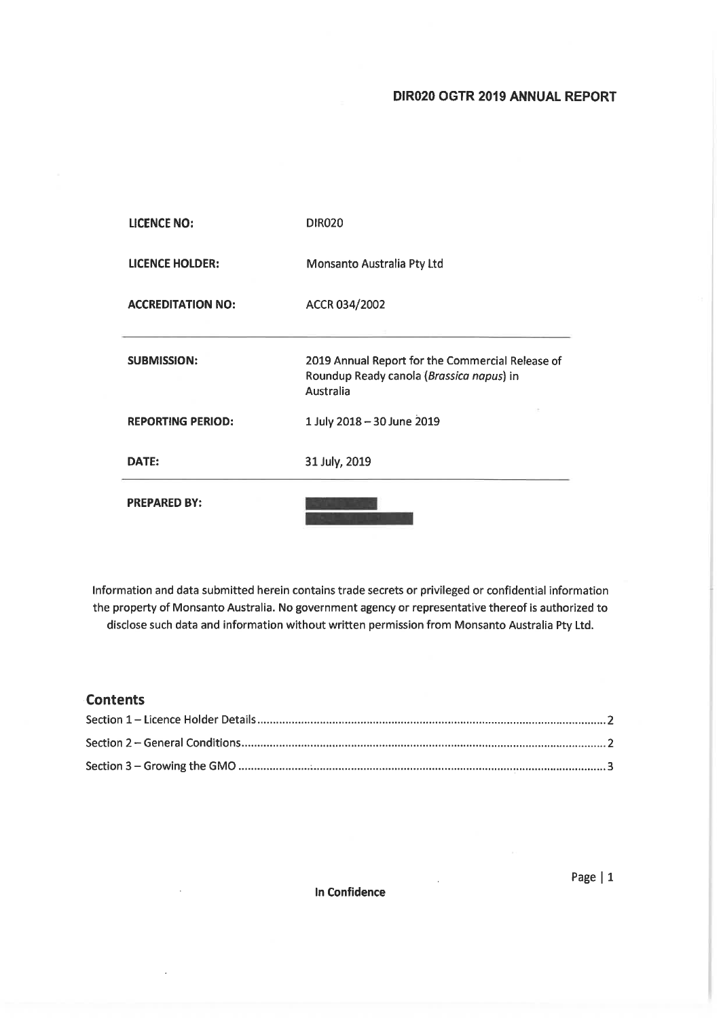## DIR020 OGTR 2019 ANNUAL REPORT

| <b>LICENCE NO:</b>       | <b>DIR020</b>                                                                                             |
|--------------------------|-----------------------------------------------------------------------------------------------------------|
| <b>LICENCE HOLDER:</b>   | Monsanto Australia Pty Ltd                                                                                |
| <b>ACCREDITATION NO:</b> | ACCR 034/2002                                                                                             |
| <b>SUBMISSION:</b>       | 2019 Annual Report for the Commercial Release of<br>Roundup Ready canola (Brassica napus) in<br>Australia |
| <b>REPORTING PERIOD:</b> | 1 July 2018 - 30 June 2019                                                                                |
| DATE:                    | 31 July, 2019                                                                                             |
| <b>PREPARED BY:</b>      |                                                                                                           |

Information and data submitted herein contains trade secrets or privileged or confidential information the property of Monsanto Australia. No government agency or representative thereof is authorized to disclose such data and information without written permission from Monsanto Australia Pty Ltd.

### **Contents**

J.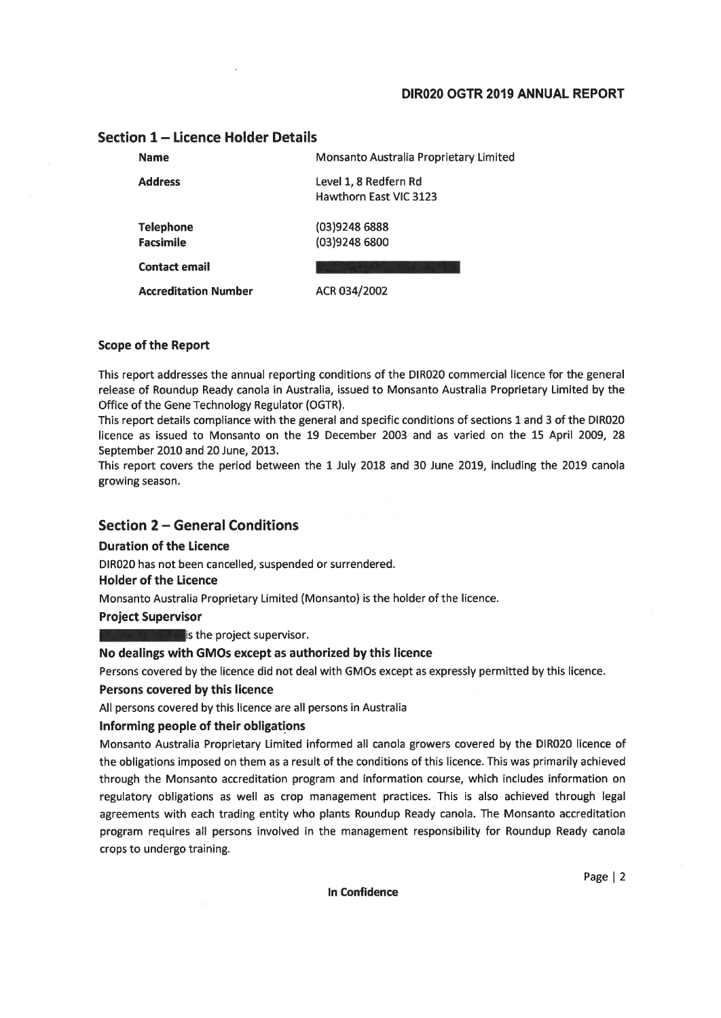### DIR020 OGTR 2019 ANNUAL REPORT

#### **Name** Monsanto Australia Proprietary Limited **Address** Level 1, 8 Redfern Rd Hawthorn East VIC 3123 **Telephone** (03)9248 6888 **Facsimile** (03)9248 6800 **Contact email**

### Section 1 - Licence Holder Details

**Accreditation Number** 

ACR 034/2002

#### **Scope of the Report**

This report addresses the annual reporting conditions of the DIR020 commercial licence for the general release of Roundup Ready canola in Australia, issued to Monsanto Australia Proprietary Limited by the Office of the Gene Technology Regulator (OGTR).

This report details compliance with the general and specific conditions of sections 1 and 3 of the DIR020 licence as issued to Monsanto on the 19 December 2003 and as varied on the 15 April 2009, 28 September 2010 and 20 June, 2013.

This report covers the period between the 1 July 2018 and 30 June 2019, including the 2019 canola growing season.

### **Section 2 - General Conditions**

#### **Duration of the Licence**

DIR020 has not been cancelled, suspended or surrendered.

#### **Holder of the Licence**

Monsanto Australia Proprietary Limited (Monsanto) is the holder of the licence.

**Project Supervisor** 

 $\blacksquare$  is the project supervisor.

#### No dealings with GMOs except as authorized by this licence

Persons covered by the licence did not deal with GMOs except as expressly permitted by this licence.

#### Persons covered by this licence

All persons covered by this licence are all persons in Australia

#### Informing people of their obligations

Monsanto Australia Proprietary Limited informed all canola growers covered by the DIR020 licence of the obligations imposed on them as a result of the conditions of this licence. This was primarily achieved through the Monsanto accreditation program and information course, which includes information on regulatory obligations as well as crop management practices. This is also achieved through legal agreements with each trading entity who plants Roundup Ready canola. The Monsanto accreditation program requires all persons involved in the management responsibility for Roundup Ready canola crops to undergo training.

In Confidence

Page  $|2$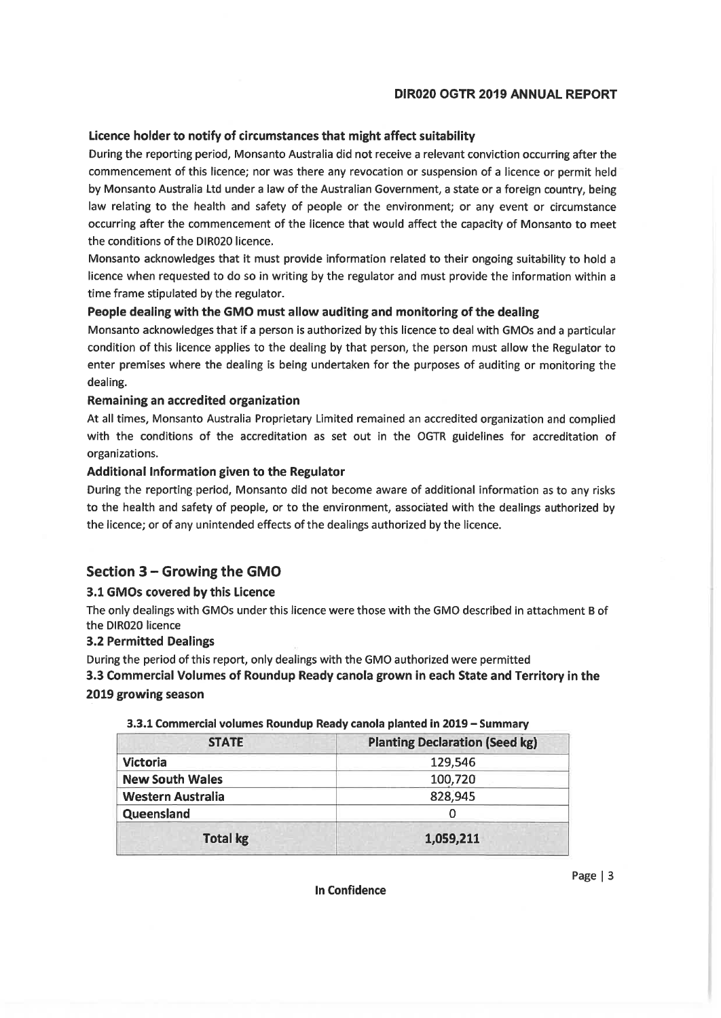### **DIR020 OGTR 2019 ANNUAL REPORT**

### Licence holder to notify of circumstances that might affect suitability

During the reporting period, Monsanto Australia did not receive a relevant conviction occurring after the commencement of this licence; nor was there any revocation or suspension of a licence or permit held by Monsanto Australia Ltd under a law of the Australian Government, a state or a foreign country, being law relating to the health and safety of people or the environment; or any event or circumstance occurring after the commencement of the licence that would affect the capacity of Monsanto to meet the conditions of the DIR020 licence.

Monsanto acknowledges that it must provide information related to their ongoing suitability to hold a licence when requested to do so in writing by the regulator and must provide the information within a time frame stipulated by the regulator.

### People dealing with the GMO must allow auditing and monitoring of the dealing

Monsanto acknowledges that if a person is authorized by this licence to deal with GMOs and a particular condition of this licence applies to the dealing by that person, the person must allow the Regulator to enter premises where the dealing is being undertaken for the purposes of auditing or monitoring the dealing.

### Remaining an accredited organization

At all times, Monsanto Australia Proprietary Limited remained an accredited organization and complied with the conditions of the accreditation as set out in the OGTR guidelines for accreditation of organizations.

#### Additional Information given to the Regulator

During the reporting period, Monsanto did not become aware of additional information as to any risks to the health and safety of people, or to the environment, associated with the dealings authorized by the licence; or of any unintended effects of the dealings authorized by the licence.

## Section 3 - Growing the GMO

### 3.1 GMOs covered by this Licence

The only dealings with GMOs under this licence were those with the GMO described in attachment B of the DIR020 licence

### **3.2 Permitted Dealings**

During the period of this report, only dealings with the GMO authorized were permitted

3.3 Commercial Volumes of Roundup Ready canola grown in each State and Territory in the 2019 growing season

| <b>STATE</b>               | <b>Planting Declaration (Seed kg)</b> |  |
|----------------------------|---------------------------------------|--|
| <b>Victoria</b><br>129,546 |                                       |  |
| <b>New South Wales</b>     | 100,720                               |  |
| <b>Western Australia</b>   | 828,945                               |  |
| Queensland                 |                                       |  |
| <b>Total kg</b>            | 1,059,211                             |  |

3.3.1 Commercial volumes Roundup Ready canola planted in 2019 - Summary

**In Confidence** 

Page  $|3$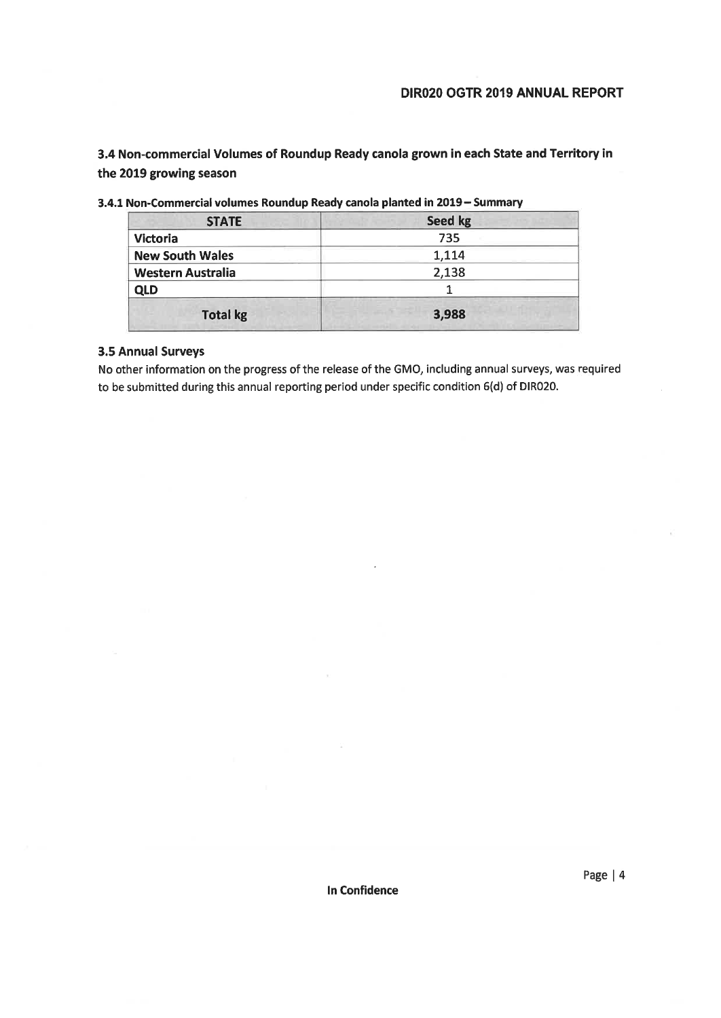3.4 Non-commercial Volumes of Roundup Ready canola grown in each State and Territory in the 2019 growing season

| Seed kg |  |
|---------|--|
| 735     |  |
| 1,114   |  |
| 2,138   |  |
|         |  |
| 3,988   |  |
|         |  |

3.4.1 Non-Commercial volumes Roundup Ready canola planted in 2019 - Summary

### **3.5 Annual Surveys**

No other information on the progress of the release of the GMO, including annual surveys, was required to be submitted during this annual reporting period under specific condition 6(d) of DIR020.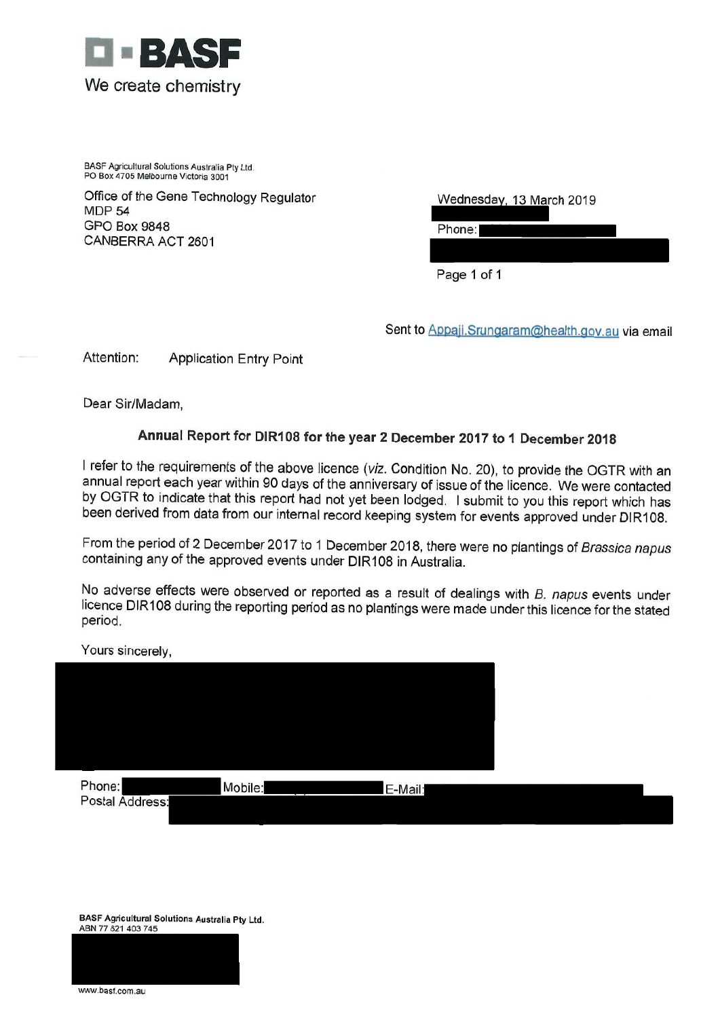

BASF Agricultural Solutions Australia Pty Ltd. PO Box 4705 Melbourne Victoria 3001

Office of the Gene Technology Regulator **MDP 54 GPO Box 9848** CANBERRA ACT 2601

| Wednesday, 13 March 2019 |  |
|--------------------------|--|
|                          |  |

Phone:

Page 1 of 1

Sent to Appaji.Srungaram@health.gov.au via email

Attention: **Application Entry Point** 

Dear Sir/Madam,

# Annual Report for DIR108 for the year 2 December 2017 to 1 December 2018

I refer to the requirements of the above licence (viz. Condition No. 20), to provide the OGTR with an annual report each year within 90 days of the anniversary of issue of the licence. We were contacted by OGTR to indicate that this report had not yet been lodged. I submit to you this report which has been derived from data from our internal record keeping system for events approved under DIR108.

From the period of 2 December 2017 to 1 December 2018, there were no plantings of Brassica napus containing any of the approved events under DIR108 in Australia.

No adverse effects were observed or reported as a result of dealings with B. napus events under licence DIR108 during the reporting period as no plantings were made under this licence for the stated period.

Yours sincerely,

| Phone:<br>Postal Address: | Mobile: | E-Mail: |
|---------------------------|---------|---------|

BASF Agricultural Solutions Australia Pty Ltd. ABN 77 621 403 745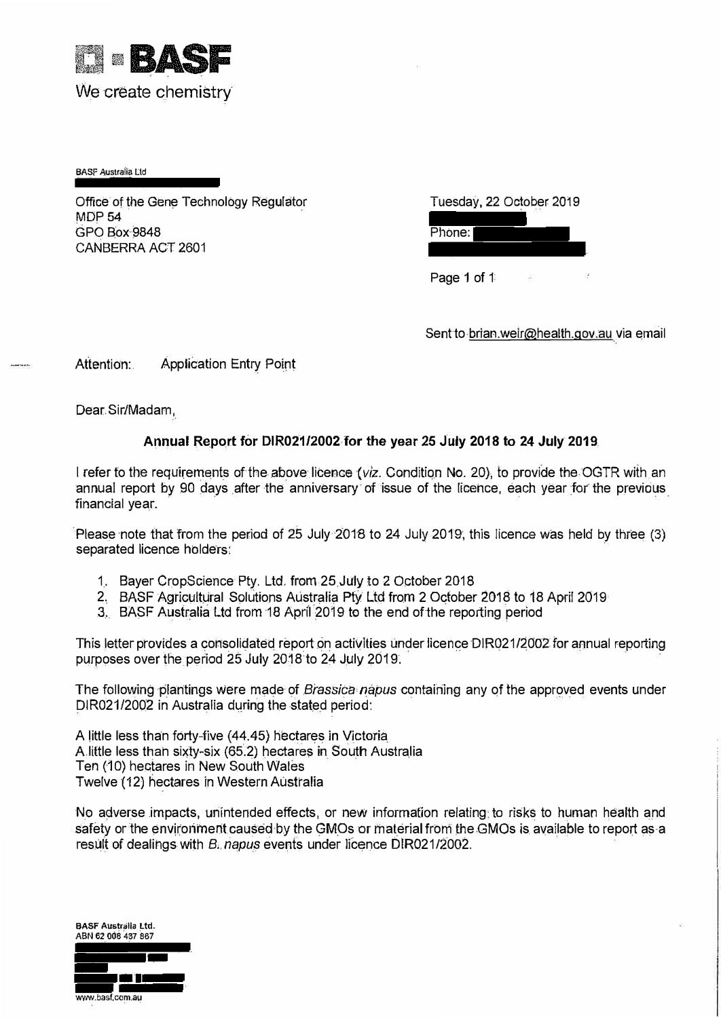

BASF Australia Lid

Office of the Gene Technology Regulator **MDP 54** GPO Box9848 CANBERRA ACT 2601

|        | Tuesday, 22 October 2019 |
|--------|--------------------------|
| Phone: |                          |
|        |                          |

Page 1 of 1

Sent to brian.weir@health.gov.au via email

Attention: Application Entry Point

Dear Sir/Madam,

## **Annual Report for DIR021/2002 for the year 25 July 2018 to 24 July 2019**

I refer to the requirements of the above licence *(viz.* Condition No. 20), to provide the OGTR with an annual report by 90 days after the anniversary of issue of the licence, each year for the previous financial year.

Please note that from the period of 25 July 2018 to 24 July 2019, this licence was held by three (3) separated licence holders:

- 1. Bayer CropScience Pty. Ltd. from 25 July to 2 October 2018
- 2. BASF Agricultural Solutions Australia Pty Ltd from 2 October 2018 to 18 April 2019
- 3. BASF Australia Ltd from 18 April 2019 to the end of the reporting period

This letter provides a consolidated report on activities under licence DIR021/2002 for annual reporting purposes over the period 25 July 2018 to 24 July 2019.

The following plantings were made of *Brassica napus* containing any of the approved events under DIR021/2002 in Australia during the stated period:

A little less than forty-five (44.45) hectares in Victoria A little less than sixty-six (65.2) hectares in South Australia Ten (10) hectares in New South Wales Twelve (12) hectares in Western Australia

No adverse impacts, unintended effects, or new information relating to risks to human health and safety or the environment caused by the GMOs or material from the GMOs is available to report as a result of dealings with *B. napus* events under licence DIR021/2002.

**BASF Australia Ltd. ABN 62 008 437 887**  www.basf.com.au